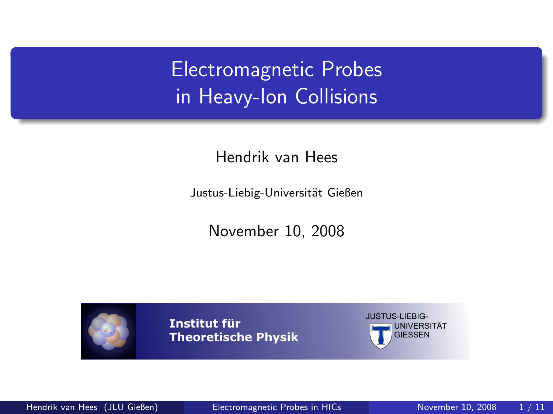## Electromagnetic Probes in Heavy-Ion Collisions

Hendrik van Hees

Justus-Liebig-Universität Gießen

November 10, 2008



**Institut für Theoretische Physik**

<span id="page-0-0"></span>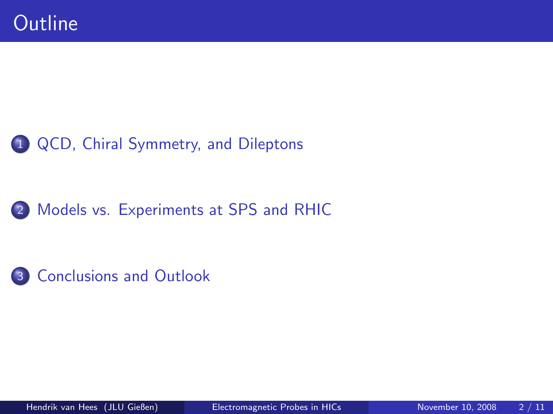#### 1 [QCD, Chiral Symmetry, and Dileptons](#page-2-0)

#### 2 [Models vs. Experiments at SPS and RHIC](#page-4-0)

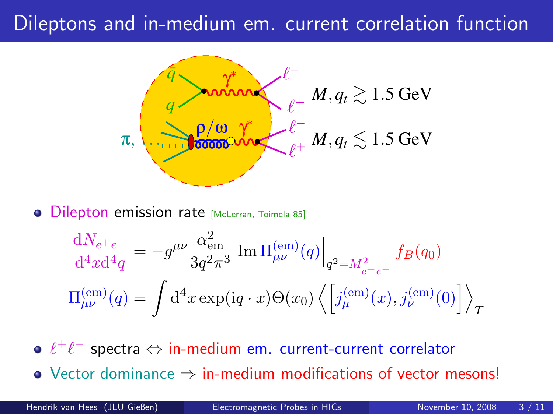#### Dileptons and in-medium em. current correlation function



**.** Dilepton emission rate [McLerran, Toimela 85]

<span id="page-2-0"></span>
$$
\frac{dN_{e^+e^-}}{d^4x d^4q} = -g^{\mu\nu} \frac{\alpha_{em}^2}{3q^2\pi^3} \operatorname{Im} \Pi_{\mu\nu}^{(em)}(q) \Big|_{q^2 = M_{e^+e^-}^2} f_B(q_0)
$$
  

$$
\Pi_{\mu\nu}^{(em)}(q) = \int d^4x \exp(iq \cdot x) \Theta(x_0) \left\langle \left[ j_{\mu}^{(em)}(x), j_{\nu}^{(em)}(0) \right] \right\rangle_T
$$

 $\ell^+\ell^-$  spectra ⇔ in-medium em. current-current correlator

Vector dominance ⇒ in-medium modifications of vector mesons!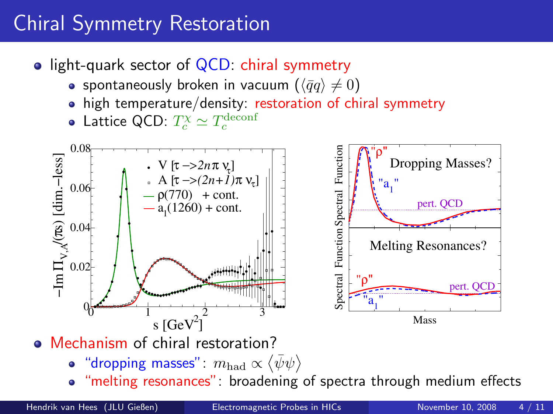# Chiral Symmetry Restoration

- light-quark sector of  $QCD$ : chiral symmetry
	- spontaneously broken in vacuum  $(\langle \bar{q}q \rangle \neq 0)$
	- high temperature/density: restoration of chiral symmetry
	- Lattice QCD:  $T_c^{\chi} \simeq T_c^{\rm deconf}$



- "dropping masses":  $m_{\rm had} \propto \left\langle \bar{\psi}\psi \right\rangle$
- "melting resonances": broadening of spectra through medium effects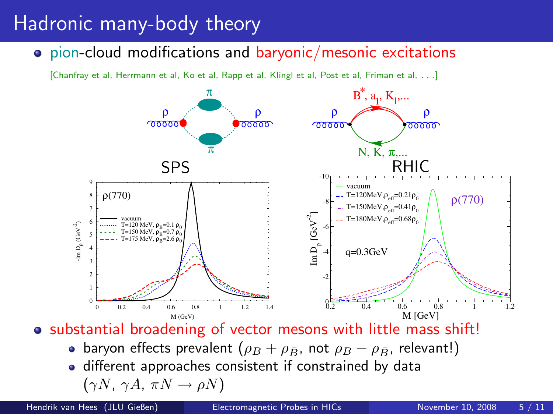#### Hadronic many-body theory

pion-cloud modifications and baryonic/mesonic excitations

[Chanfray et al, Herrmann et al, Ko et al, Rapp et al, Klingl et al, Post et al, Friman et al, . . .]



• substantial broadening of vector mesons with little mass shift!

- baryon effects prevalent ( $\rho_B + \rho_{\bar{B}}$ , not  $\rho_B \rho_{\bar{B}}$ , relevant!)
- <span id="page-4-0"></span>• different approaches consistent if constrained by data  $(\gamma N, \gamma A, \pi N \rightarrow \rho N)$

Hendrik van Hees (JLU Gießen) [Electromagnetic Probes in HICs](#page-0-0) November 10, 2008 5 / 11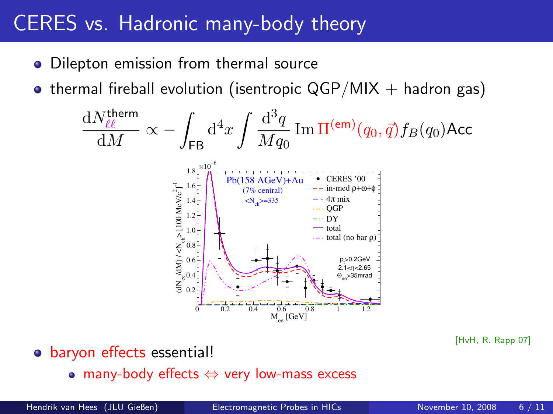#### CERES vs. Hadronic many-body theory

- Dilepton emission from thermal source
- thermal fireball evolution (isentropic  $QGP/MIX + hadron gas$ )

$$
\frac{dN_{\ell\ell}^{\text{therm}}}{dM} \propto -\int_{\text{FB}} d^4x \int \frac{d^3q}{Mq_0} \operatorname{Im} \Pi^{(\text{em})}(q_0, \vec{q}) f_B(q_0) \text{Acc}
$$
\n
$$
\sum_{\substack{\overline{i_0} = 16 \\ \overline{2} \text{ prime} \\ \overline{2} \text{ prime} \\ \overline{3} \text{ prime} \\ \overline{4} \text{ prime}}} \operatorname{Pb}(158 \text{ AGeV}) + \text{Au} \quad \text{CEEES 00} \\ \text{Pb}(158 \text{ AGeV}) + \text{Au} \quad \text{CEEES 00} \\ \text{Pb}(158 \text{ AGeV}) + \text{Au} \quad \text{CEEES 00} \\ \text{CFEES 00} \\ \text{CFEES 01} \\ \text{CFEES 00} \\ \text{CFEES 01} \\ \text{CFEES 02} \\ \text{CFEES 03} \\ \text{CFEES 04} \\ \text{CFEES 04} \\ \text{CFEES 00} \\ \text{CFEES 00} \\ \text{CFEES 01} \\ \text{CFEES 02} \\ \text{CFEES 03} \\ \text{CFEES 04} \\ \text{CFEES 04} \\ \text{CFEES 04} \\ \text{CFEES 04} \\ \text{CFEES 04} \\ \text{CFEES 04} \\ \text{CFEES 04} \\ \text{CFEES 04} \\ \text{CFEES 04} \\ \text{CFEES 04} \\ \text{CFEES 04} \\ \text{CFEES 04} \\ \text{CFEES 04} \\ \text{CFEES 04} \\ \text{CFEES 04} \\ \text{CFEES 04} \\ \text{CFEES 04} \\ \text{CFEES 04} \\ \text{CGE} \\ \text{CGE} \\ \text{CGE} \\ \text{CGE} \\ \text{CGE} \\ \text{CGE} \\ \text{CGE} \\ \text{CGE} \\ \text{CGE} \\ \text{CGE} \\ \text{CGE} \\ \text{CGE} \\ \text{CGE} \\ \text{CGE} \\ \text{CGE} \\ \text{CGE} \\ \text{CGE} \\ \text{CGE} \\ \text{CGE} \\ \text{CGE} \\ \text{CGE} \\ \text{CGE} \\ \
$$

- o baryon effects essential!
	- many-body effects  $\Leftrightarrow$  very low-mass excess

<sup>[</sup>HvH, R. Rapp 07]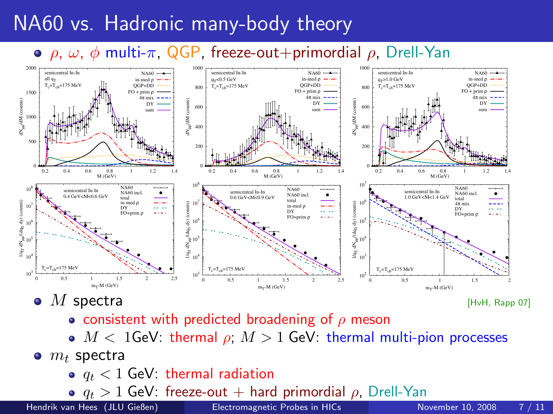### NA60 vs. Hadronic many-body theory

#### $\circ$   $\rho$ ,  $\omega$ ,  $\phi$  multi-π, QGP, freeze-out+primordial  $\rho$ . Drell-Yan



M spectra [HvH, Rapp 07]

- **consistent with predicted broadening of**  $\rho$  **meson**
- $M < 1$ GeV: thermal  $\rho$ ;  $M > 1$  GeV: thermal multi-pion processes
- $\bullet$   $m_t$  spectra
	- $q_t < 1$  GeV: thermal radiation
	- **o**  $q_t > 1$  GeV: freeze-out + hard primordial  $\rho$ , Drell-Yan<br>an Hees (JLU Gießen) **Electromagnetic Probes in HICs**

Hendrik van Hees (JLU Gießen) [Electromagnetic Probes in HICs](#page-0-0) November 10, 2008 7 / 11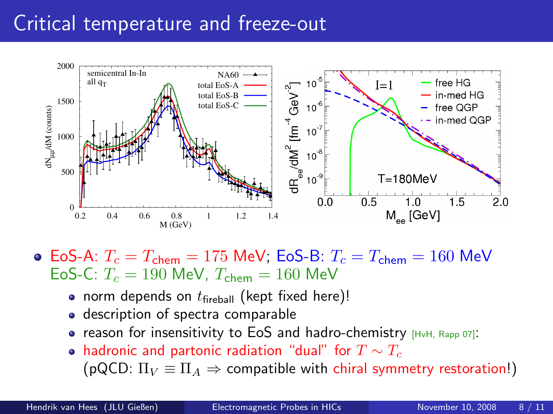#### Critical temperature and freeze-out



 $\bullet$  EoS-A:  $T_c = T_{\rm chem} = 175$  MeV; EoS-B:  $T_c = T_{\rm chem} = 160$  MeV EoS-C:  $T_c = 190$  MeV,  $T_{chem} = 160$  MeV

- norm depends on  $t_{\text{fireball}}$  (kept fixed here)!
- description of spectra comparable
- reason for insensitivity to EoS and hadro-chemistry  $HWH$ , Rapp 07]:
- hadronic and partonic radiation "dual" for  $T \sim T_c$ (pQCD:  $\Pi_V \equiv \Pi_A \Rightarrow$  compatible with chiral symmetry restoration!)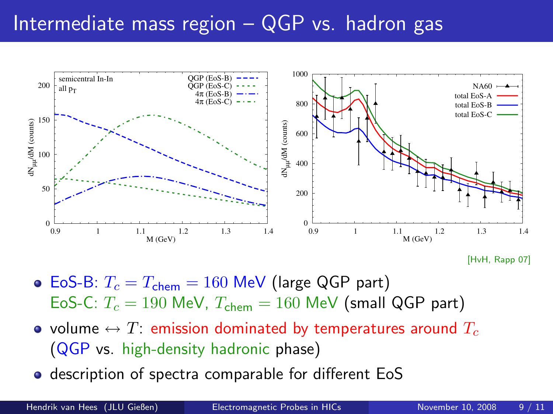#### Intermediate mass region - QGP vs. hadron gas



<sup>[</sup>HvH, Rapp 07]

- EoS-B:  $T_c = T_{chem} = 160$  MeV (large QGP part) EoS-C:  $T_c = 190$  MeV,  $T_{chem} = 160$  MeV (small QGP part)
- volume  $\leftrightarrow T$ : emission dominated by temperatures around  $T_c$ (QGP vs. high-density hadronic phase)
- **•** description of spectra comparable for different EoS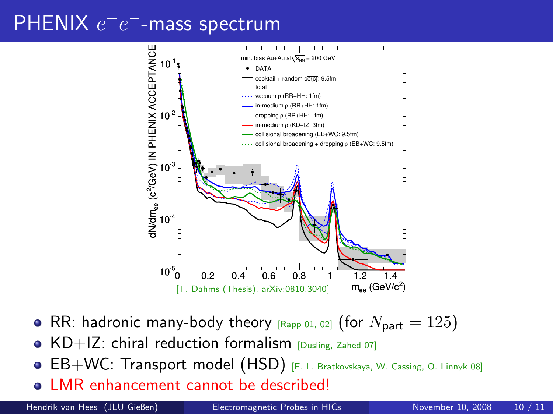# $PHENIX e^+e^-$ -mass spectrum



- RR: hadronic many-body theory  $_{\text{[Rapp 01, 02]}}$  (for  $N_{\text{part}} = 125$ )
- $\bullet$  KD+IZ: chiral reduction formalism [Dusling, Zahed 07]
- **· EB+WC: Transport model (HSD)** [E. L. Bratkovskaya, W. Cassing, O. Linnyk 08]
- LMR enhancement cannot be described!

Hendrik van Hees (JLU Gießen) [Electromagnetic Probes in HICs](#page-0-0) November 10, 2008 10 / 11